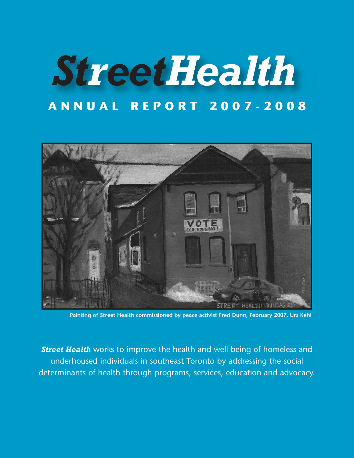# *StreetHealth* **ANNUAL REPORT 2007-2008**



**Painting of Street Health commissioned by peace activist Fred Dunn, February 2007, Urs Kehl**

**Street Health** works to improve the health and well being of homeless and underhoused individuals in southeast Toronto by addressing the social determinants of health through programs, services, education and advocacy.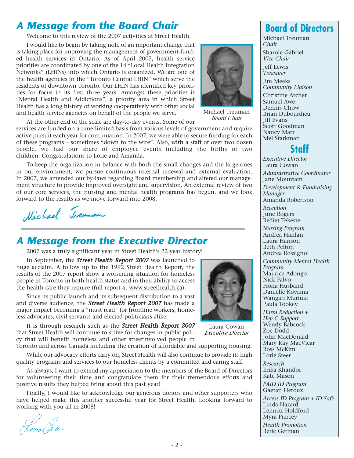## *A Message from the Board Chair*

Welcome to this review of the 2007 activities at Street Health.

I would like to begin by taking note of an important change that is taking place for improving the management of government-funded health services in Ontario. As of April 2007, health service priorities are coordinated by one of the 14 "Local Health Integration Networks" (LHINs) into which Ontario is organized. We are one of the health agencies in the "Toronto Central LHIN" which serve the residents of downtown Toronto. Our LHIN has identified key priorities for focus in its first three years. Amongst these priorities is "Mental Health and Addictions", a priority area in which Street Health has a long history of working cooperatively with other social and health service agencies on behalf of the people we serve.



Michael Treuman *Board Chair*

At the other end of the scale are day-to-day events. Some of our

services are funded on a time-limited basis from various levels of government and require active pursuit each year for continuation. In 2007, we were able to secure funding for each of these programs – sometimes "down to the wire". Also, with a staff of over two dozen people, we had our share of employee events including the births of two children! Congratulations to Lorie and Amanda.

To keep the organization in balance with both the small changes and the large ones in our environment, we pursue continuous internal renewal and external evaluation. In 2007, we amended our by-laws regarding Board membership and altered our management structure to provide improved oversight and supervision. An external review of two of our core services, the nursing and mental health programs has begun, and we look forward to the results as we move forward into 2008.

Michael Incuman

# *A Message from the Executive Director*

2007 was a truly significant year in Street Health's 22 year history!

In September, the **Street Health Report 2007** was launched to huge acclaim. A follow up to the 1992 Street Health Report, the results of the 2007 report show a worsening situation for homeless people in Toronto in both health status and in their ability to access the health care they require (full report at www.streethealth.ca).

Since its public launch and its subsequent distribution to a vast and diverse audience, the **Street Health Report 2007** has made a major impact becoming a "must read" for frontline workers, homeless advocates, civil servants and elected politicians alike.

It is through research such as the **Street Health Report 2007** that Street Health will continue to strive for changes in public policy that will benefit homeless and other streetinvolved people in Toronto and across Canada including the creation of affordable and supporting housing.

While our advocacy efforts carry on, Street Health will also continue to provide its high quality programs and services to our homeless clients by a committed and caring staff.

As always, I want to extend my appreciation to the members of the Board of Directors for volunteering their time and congratulate them for their tremendous efforts and positive results they helped bring about this past year!

Finally, I would like to acknowledge our generous donors and other supporters who have helped make this another successful year for Street Health. Looking forward to working with you all in 2008!

Laura (arun

Laura Cowan *Executive Director*

**Board of Directors** Michael Treuman

*Chair* Sharole Gabriel *Vice Chair*

Jeff Lewis *Treasurer*

Jim Meeks

*Community Liaison* Christine Archer Samuel Awe Dennis Chow Brian Dubourdieu Jill Evans Scott Goodman



*Executive Director* Laura Cowan

Nancy Marr Mel Starkman

*Administrative Coordinator* Jane Mountain

*Development & Fundraising Manager* Amanda Robertson

*Reception* June Rogers Rediet Tekeste

*Nursing Program* Andrea Hanlan Laura Hanson Beth Pelton

Andrea Rossignol *Community Mental Health Program* Maurice Adongo Nick Falvo Fiona Husband Danielle Koyama Wangari Muriuki Paula Tookey

*Harm Reduction + Hep C Support* Wendy Babcock Zoe Dodd John MacDonald Mary Kay MacVicar Ross McKim Lorie Steer

*Research* Erika Khandor Kate Mason

*PAID ID Program* Gaetan Heroux

*Access ID Program + ID Safe* Linda Hazard Lennox Holdford Myra Piercey *Health Promotion* Beric German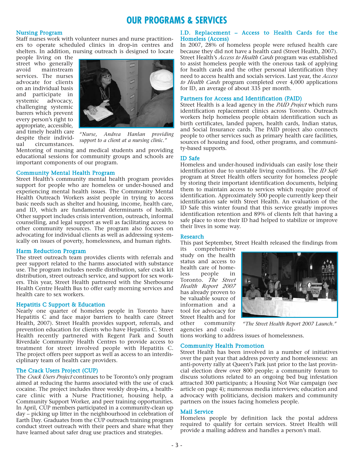## **OUR PROGRAMS & SERVICES**

#### Nursing Program

Staff nurses work with volunteer nurses and nurse practitioners to operate scheduled clinics in drop-in centres and shelters. In addition, nursing outreach is designed to locate

people living on the street who generally avoid mainstream services. The nurses advocate for clients on an individual basis and participate in systemic advocacy, challenging systemic barrers which prevent every person's right to appropriate, accessible, despite their individual circumstances.



and timely health care *"Nurse, Andrea Hanlan providing support to a client at a nursing clinic."*

Mentoring of nursing and medical students and providing educational sessions for community groups and schools are important components of our program.

#### Community Mental Health Program

Street Health's community mental health program provides support for people who are homeless or under-housed and experiencing mental health issues. The Community Mental Health Outreach Workers assist people in trying to access basic needs such as shelter and housing, income, health care, and ID, which are fundamental determinants of health. Other support includes crisis intervention, outreach, informal counselling, and legal support as well as facilitating access to other community resources. The program also focuses on advocating for individual clients as well as addressing systemically on issues of poverty, homelessness, and human rights.

#### Harm Reduction Program

The street outreach team provides clients with referrals and peer support related to the harms associated with substance use. The program includes needle distribution, safer crack kit distribution, street outreach service, and support for sex workers. This year, Street Health partnered with the Sherbourne Health Centre Health Bus to offer early morning services and health care to sex workers.

#### Hepatitis C Support & Education

Nearly one quarter of homeless people in Toronto have Hepatitis C and face major barriers to health care (Street Health, 2007). Street Health provides support, referrals, and prevention education for clients who have Hepatitis C. Street Health recently partnered with Regent Park and South Riverdale Community Health Centres to provide access to treatment for street involved people with Hepatitis C. The project offers peer support as well as access to an interdisciplinary team of health care providers.

#### The Crack Users Project (CUP)

The *Crack Users Project* continues to be Toronto's only program aimed at reducing the harms associated with the use of crack cocaine. The project includes three weekly drop-ins, a healthcare clinic with a Nurse Practitioner, housing help, a Community Support Worker, and peer training opportunities. In April, CUP members participated in a community-clean up day – picking up litter in the neighbourhood in celebration of Earth Day. Graduates from the CUP outreach training program conduct street outreach with their peers and share what they have learned about safer drug use practices and strategies.

#### I.D. Replacement – Access to Health Cards for the Homeless (Access)

In 2007, 28% of homeless people were refused health care because they did not have a health card (Street Health, 2007). Street Health's *Access to Health Cards* program was established to assist homeless people with the onerous task of applying for health cards and the other personal identification they need to access health and socials services. Last year, the *Access to Health Cards* program completed over 4,000 applications for ID, an average of about 335 per month.

#### Partners for Access and Identification (PAID)

Street Health is a lead agency in the *PAID Project* which runs identification replacement clinics across Toronto. Outreach workers help homeless people obtain identification such as birth certificates, landed papers, health cards, Indian status, and Social Insurance cards. The PAID project also connects people to other services such as primary health care facilities, sources of housing and food, other programs, and community-based supports.

#### ID Safe

Homeless and under-housed individuals can easily lose their identification due to unstable living conditions. The *ID Safe* program at Street Health offers security for homeless people by storing their important identification documents, helping them to maintain access to services which require proof of identification. Approximately 500 people currently keep their identification safe with Street Health. An evaluation of the ID Safe this winter found that this service greatly improves identification retention and 89% of clients felt that having a safe place to store their ID had helped to stabilize or improve their lives in some way.

#### Research

This past September, Street Health released the findings from

its comprehensive study on the health status and access to health care of homeless people in Toronto. *The Street Health Report 2007* has already proven to be valuable source of information and a tool for advocacy for Street Health and for other community agencies and coali-



*"The Street Health Report 2007 Launch."*

tions working to address issues of homelessness.

#### Community Health Promotion

Street Health has been involved in a number of initiatives over the past year that address poverty and homelessness: an anti-poverty rally at Queen's Park just prior to the last provincial election drew over 800 people; a community forum to discuss solutions related to an ongoing bed bug infestation attracted 300 participants; a Housing Not War campaign (see article on page 4); numerous media interviews; education and advocacy with politicians, decision makers and community partners on the issues facing homeless people.

#### Mail Service

Homeless people by definition lack the postal address required to qualify for certain services. Street Health will provide a mailing address and handles a person's mail.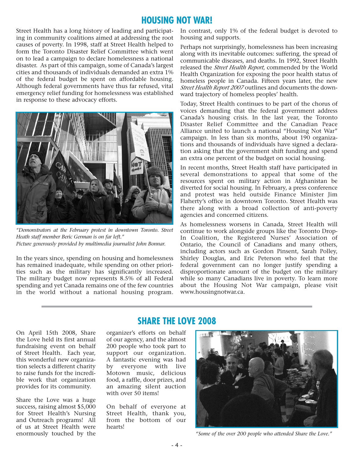## **HOUSING NOT WAR!**

Street Health has a long history of leading and participating in community coalitions aimed at addressing the root causes of poverty. In 1998, staff at Street Health helped to form the Toronto Disaster Relief Committee which went on to lead a campaign to declare homelessness a national disaster. As part of this campaign, some of Canada's largest cities and thousands of individuals demanded an extra 1% of the federal budget be spent on affordable housing. Although federal governments have thus far refused, vital emergency relief funding for homelessness was established in response to these advocacy efforts.



*"Demonstrators at the February protest in downtown Toronto. Street Heath staff member Beric German is on far left." Picture generously provided by multimedia journalist John Bonnar.*

In the years since, spending on housing and homelessness has remained inadequate, while spending on other priorities such as the military has significantly increased. The military budget now represents 8.5% of all Federal spending and yet Canada remains one of the few countries in the world without a national housing program.

In contrast, only 1% of the federal budget is devoted to housing and supports.

Perhaps not surprisingly, homelessness has been increasing along with its inevitable outcomes: suffering, the spread of communicable diseases, and deaths. In 1992, Street Health released the *Street Health Report*, commended by the World Health Organization for exposing the poor health status of homeless people in Canada. Fifteen years later, the new *Street Health Report 2007* outlines and documents the downward trajectory of homeless peoples' health.

Today, Street Health continues to be part of the chorus of voices demanding that the federal government address Canada's housing crisis. In the last year, the Toronto Disaster Relief Committee and the Canadian Peace Alliance united to launch a national "Housing Not War" campaign. In less than six months, about 190 organizations and thousands of individuals have signed a declaration asking that the government shift funding and spend an extra one percent of the budget on social housing.

In recent months, Street Health staff have participated in several demonstrations to appeal that some of the resources spent on military action in Afghanistan be diverted for social housing. In February, a press conference and protest was held outside Finance Minister Jim Flaherty's office in downtown Toronto. Street Health was there along with a broad collection of anti-poverty agencies and concerned citizens.

As homelessness worsens in Canada, Street Health will continue to work alongside groups like the Toronto Drop-In Coalition, the Registered Nurses' Association of Ontario, the Council of Canadians and many others, including actors such as Gordon Pinsent, Sarah Polley, Shirley Douglas, and Eric Peterson who feel that the federal government can no longer justify spending a disproportionate amount of the budget on the military while so many Canadians live in poverty. To learn more about the Housing Not War campaign, please visit www.housingnotwar.ca.

# **SHARE THE LOVE 2008**

On April 15th 2008, Share the Love held its first annual fundraising event on behalf of Street Health. Each year, this wonderful new organization selects a different charity to raise funds for the incredible work that organization provides for its community.

Share the Love was a huge success, raising almost \$5,000 for Street Health's Nursing and Outreach programs! All of us at Street Health were enormously touched by the

organizer's efforts on behalf of our agency, and the almost 200 people who took part to support our organization. A fantastic evening was had by everyone with live Motown music, delicious food, a raffle, door prizes, and an amazing silent auction with over 50 items!

On behalf of everyone at Street Health, thank you, from the bottom of our hearts!



*"Some of the over 200 people who attended Share the Love."*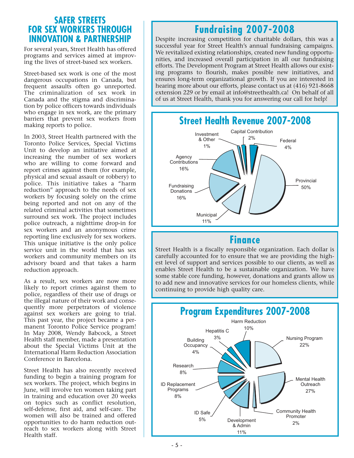## **SAFER STREETS FOR SEX WORKERS THROUGH INNOVATION & PARTNERSHIP**

For several years, Street Health has offered programs and services aimed at improving the lives of street-based sex workers.

Street-based sex work is one of the most dangerous occupations in Canada, but frequent assaults often go unreported. The criminalization of sex work in Canada and the stigma and discrimination by police officers towards individuals who engage in sex work, are the primary barriers that prevent sex workers from making reports to police.

In 2003, Street Health partnered with the Toronto Police Services, Special Victims Unit to develop an initiative aimed at increasing the number of sex workers who are willing to come forward and report crimes against them (for example, physical and sexual assault or robbery) to police. This initiative takes a "harm reduction" approach to the needs of sex workers by focusing solely on the crime being reported and not on any of the related criminal activities that sometimes surround sex work. The project includes police outreach, a nighttime drop-in for sex workers and an anonymous crime reporting line exclusively for sex workers. This unique initiative is the only police service unit in the world that has sex workers and community members on its advisory board and that takes a harm reduction approach.

As a result, sex workers are now more likely to report crimes against them to police, regardless of their use of drugs or the illegal nature of their work and consequently more perpetrators of violence against sex workers are going to trial. This past year, the project became a permanent Toronto Police Service program! In May 2008, Wendy Babcock, a Street Health staff member, made a presentation about the Special Victims Unit at the International Harm Reduction Association Conference in Barcelona.

Street Health has also recently received funding to begin a training program for sex workers. The project, which begins in June, will involve ten women taking part in training and education over 20 weeks on topics such as conflict resolution, self-defense, first aid, and self-care. The women will also be trained and offered opportunities to do harm reduction outreach to sex workers along with Street Health staff.

# **Fundraising 2007-2008**

Despite increasing competition for charitable dollars, this was a successful year for Street Health's annual fundraising campaigns. We revitalized existing relationships, created new funding opportunities, and increased overall participation in all our fundraising efforts. The Development Program at Street Health allows our existing programs to flourish, makes possible new initiatives, and ensures long-term organizational growth. If you are interested in hearing more about our efforts, please contact us at (416) 921-8668 extension 229 or by email at info@streethealth.ca! On behalf of all of us at Street Health, thank you for answering our call for help!



## **Finance**

Street Health is a fiscally responsible organization. Each dollar is carefully accounted for to ensure that we are providing the highest level of support and services possible to our clients, as well as enables Street Health to be a sustainable organization. We have some stable core funding, however, donations and grants allow us to add new and innovative services for our homeless clients, while continuing to provide high quality care.